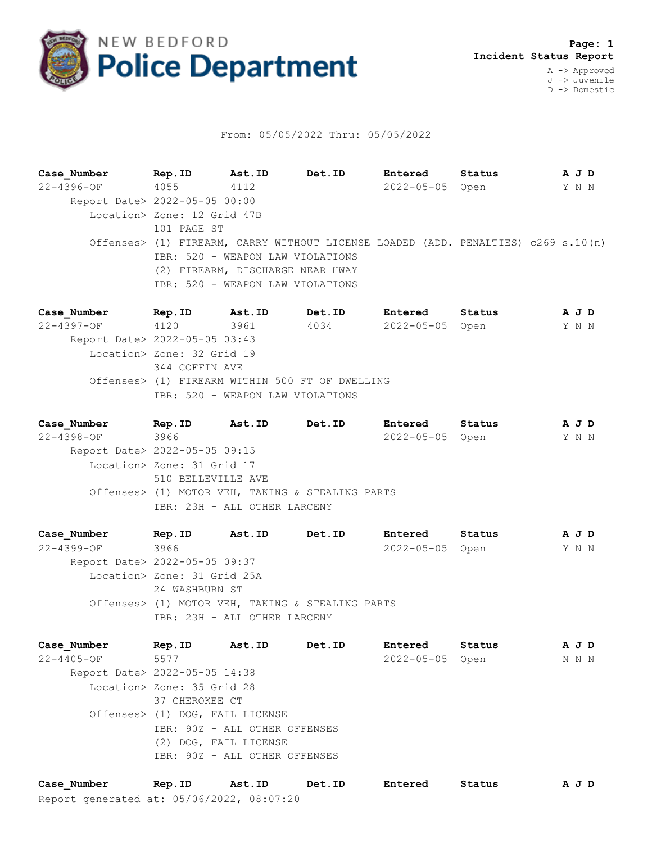

## From: 05/05/2022 Thru: 05/05/2022

**Case\_Number Rep.ID Ast.ID Det.ID Entered Status A J D** 22-4396-OF 4055 4112 2022-05-05 Open Y N N Report Date> 2022-05-05 00:00 Location> Zone: 12 Grid 47B 101 PAGE ST Offenses> (1) FIREARM, CARRY WITHOUT LICENSE LOADED (ADD. PENALTIES) c269 s.10(n) IBR: 520 - WEAPON LAW VIOLATIONS (2) FIREARM, DISCHARGE NEAR HWAY IBR: 520 - WEAPON LAW VIOLATIONS

**Case\_Number Rep.ID Ast.ID Det.ID Entered Status A J D** 22-4397-OF 4120 3961 4034 2022-05-05 Open Y N N Report Date> 2022-05-05 03:43 Location> Zone: 32 Grid 19 344 COFFIN AVE Offenses> (1) FIREARM WITHIN 500 FT OF DWELLING IBR: 520 - WEAPON LAW VIOLATIONS

**Case\_Number Rep.ID Ast.ID Det.ID Entered Status A J D** 22-4398-OF 3966 2022-05-05 Open Y N N Report Date> 2022-05-05 09:15 Location> Zone: 31 Grid 17 510 BELLEVILLE AVE Offenses> (1) MOTOR VEH, TAKING & STEALING PARTS IBR: 23H - ALL OTHER LARCENY

**Case\_Number Rep.ID Ast.ID Det.ID Entered Status A J D** 22-4399-OF 3966 2022-05-05 Open Y N N Report Date> 2022-05-05 09:37 Location> Zone: 31 Grid 25A 24 WASHBURN ST Offenses> (1) MOTOR VEH, TAKING & STEALING PARTS IBR: 23H - ALL OTHER LARCENY

**Case\_Number Rep.ID Ast.ID Det.ID Entered Status A J D** 22-4405-OF 5577 2022-05-05 Open N N N Report Date> 2022-05-05 14:38 Location> Zone: 35 Grid 28 37 CHEROKEE CT Offenses> (1) DOG, FAIL LICENSE IBR: 90Z - ALL OTHER OFFENSES (2) DOG, FAIL LICENSE IBR: 90Z - ALL OTHER OFFENSES

Report generated at: 05/06/2022, 08:07:20 **Case\_Number Rep.ID Ast.ID Det.ID Entered Status A J D**